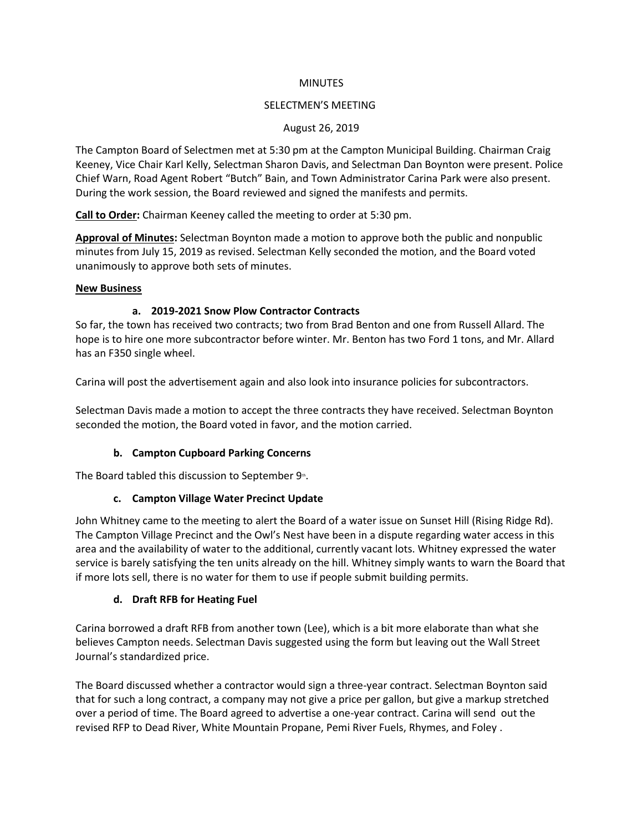#### **MINUTES**

### SELECTMEN'S MEETING

# August 26, 2019

The Campton Board of Selectmen met at 5:30 pm at the Campton Municipal Building. Chairman Craig Keeney, Vice Chair Karl Kelly, Selectman Sharon Davis, and Selectman Dan Boynton were present. Police Chief Warn, Road Agent Robert "Butch" Bain, and Town Administrator Carina Park were also present. During the work session, the Board reviewed and signed the manifests and permits.

**Call to Order:** Chairman Keeney called the meeting to order at 5:30 pm.

**Approval of Minutes:** Selectman Boynton made a motion to approve both the public and nonpublic minutes from July 15, 2019 as revised. Selectman Kelly seconded the motion, and the Board voted unanimously to approve both sets of minutes.

### **New Business**

# **a. 2019-2021 Snow Plow Contractor Contracts**

So far, the town has received two contracts; two from Brad Benton and one from Russell Allard. The hope is to hire one more subcontractor before winter. Mr. Benton has two Ford 1 tons, and Mr. Allard has an F350 single wheel.

Carina will post the advertisement again and also look into insurance policies for subcontractors.

Selectman Davis made a motion to accept the three contracts they have received. Selectman Boynton seconded the motion, the Board voted in favor, and the motion carried.

# **b. Campton Cupboard Parking Concerns**

The Board tabled this discussion to September  $9<sup>th</sup>$ .

# **c. Campton Village Water Precinct Update**

John Whitney came to the meeting to alert the Board of a water issue on Sunset Hill (Rising Ridge Rd). The Campton Village Precinct and the Owl's Nest have been in a dispute regarding water access in this area and the availability of water to the additional, currently vacant lots. Whitney expressed the water service is barely satisfying the ten units already on the hill. Whitney simply wants to warn the Board that if more lots sell, there is no water for them to use if people submit building permits.

# **d. Draft RFB for Heating Fuel**

Carina borrowed a draft RFB from another town (Lee), which is a bit more elaborate than what she believes Campton needs. Selectman Davis suggested using the form but leaving out the Wall Street Journal's standardized price.

The Board discussed whether a contractor would sign a three-year contract. Selectman Boynton said that for such a long contract, a company may not give a price per gallon, but give a markup stretched over a period of time. The Board agreed to advertise a one-year contract. Carina will send out the revised RFP to Dead River, White Mountain Propane, Pemi River Fuels, Rhymes, and Foley .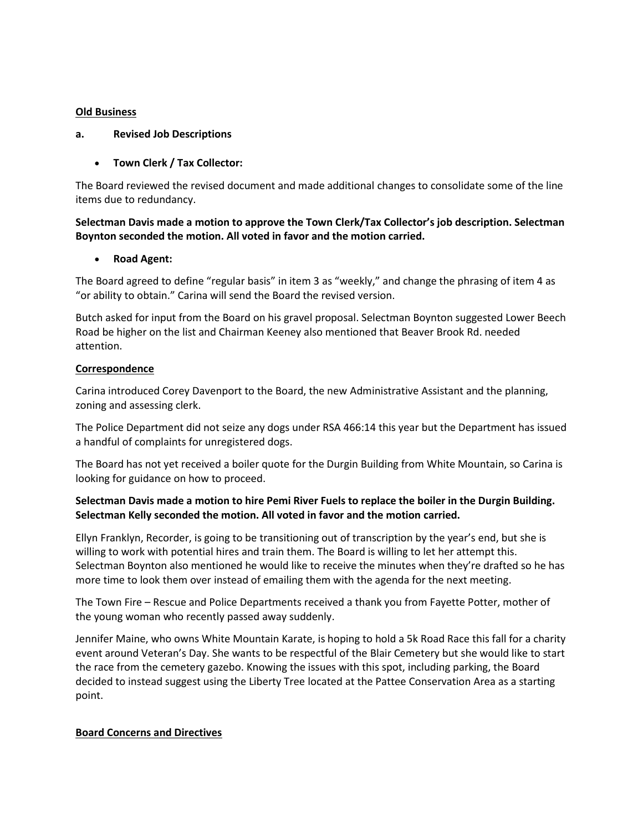### **Old Business**

#### **a. Revised Job Descriptions**

# • **Town Clerk / Tax Collector:**

The Board reviewed the revised document and made additional changes to consolidate some of the line items due to redundancy.

# **Selectman Davis made a motion to approve the Town Clerk/Tax Collector's job description. Selectman Boynton seconded the motion. All voted in favor and the motion carried.**

# • **Road Agent:**

The Board agreed to define "regular basis" in item 3 as "weekly," and change the phrasing of item 4 as "or ability to obtain." Carina will send the Board the revised version.

Butch asked for input from the Board on his gravel proposal. Selectman Boynton suggested Lower Beech Road be higher on the list and Chairman Keeney also mentioned that Beaver Brook Rd. needed attention.

### **Correspondence**

Carina introduced Corey Davenport to the Board, the new Administrative Assistant and the planning, zoning and assessing clerk.

The Police Department did not seize any dogs under RSA 466:14 this year but the Department has issued a handful of complaints for unregistered dogs.

The Board has not yet received a boiler quote for the Durgin Building from White Mountain, so Carina is looking for guidance on how to proceed.

# **Selectman Davis made a motion to hire Pemi River Fuels to replace the boiler in the Durgin Building. Selectman Kelly seconded the motion. All voted in favor and the motion carried.**

Ellyn Franklyn, Recorder, is going to be transitioning out of transcription by the year's end, but she is willing to work with potential hires and train them. The Board is willing to let her attempt this. Selectman Boynton also mentioned he would like to receive the minutes when they're drafted so he has more time to look them over instead of emailing them with the agenda for the next meeting.

The Town Fire – Rescue and Police Departments received a thank you from Fayette Potter, mother of the young woman who recently passed away suddenly.

Jennifer Maine, who owns White Mountain Karate, is hoping to hold a 5k Road Race this fall for a charity event around Veteran's Day. She wants to be respectful of the Blair Cemetery but she would like to start the race from the cemetery gazebo. Knowing the issues with this spot, including parking, the Board decided to instead suggest using the Liberty Tree located at the Pattee Conservation Area as a starting point.

#### **Board Concerns and Directives**